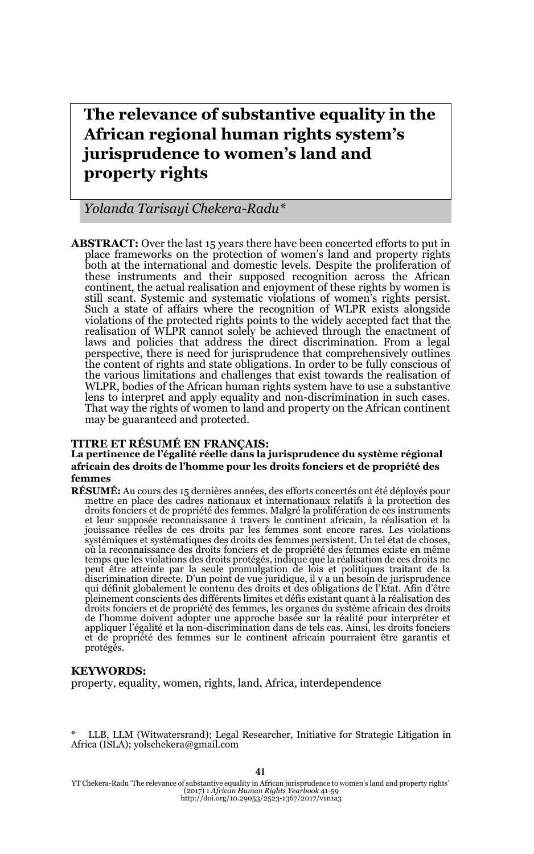# **The relevance of substantive equality in the African regional human rights system's jurisprudence to women's land and property rights**

*Yolanda Tarisayi Chekera-Radu\**

**ABSTRACT:** Over the last 15 years there have been concerted efforts to put in place frameworks on the protection of women's land and property rights both at the international and domestic levels. Despite the proliferation of these instruments and their supposed recognition across the African continent, the actual realisation and enjoyment of these rights by women is still scant. Systemic and systematic violations of women's rights persist. Such a state of affairs where the recognition of WLPR exists alongside violations of the protected rights points to the widely accepted fact that the realisation of WLPR cannot solely be achieved through the enactment of laws and policies that address the direct discrimination. From a legal perspective, there is need for jurisprudence that comprehensively outlines the content of rights and state obligations. In order to be fully conscious of the various limitations and challenges that exist towards the realisation of WLPR, bodies of the African human rights system have to use a substantive lens to interpret and apply equality and non-discrimination in such cases. That way the rights of women to land and property on the African continent may be guaranteed and protected.

#### **TITRE ET RÉSUMÉ EN FRANÇAIS:**

#### **La pertinence de l'égalité réelle dans la jurisprudence du système régional africain des droits de l'homme pour les droits fonciers et de propriété des femmes**

**RÉSUMÉ:** Au cours des 15 dernières années, des efforts concertés ont été déployés pour mettre en place des cadres nationaux et internationaux relatifs à la protection des droits fonciers et de propriété des femmes. Malgré la prolifération de ces instruments et leur supposée reconnaissance à travers le continent africain, la réalisation et la jouissance réelles de ces droits par les femmes sont encore rares. Les violations systémiques et systématiques des droits des femmes persistent. Un tel état de choses, où la reconnaissance des droits fonciers et de propriété des femmes existe en même temps que les violations des droits protégés, indique que la réalisation de ces droits ne peut être atteinte par la seule promulgation de lois et politiques traitant de la discrimination directe. D'un point de vue juridique, il y a un besoin de jurisprudence qui définit globalement le contenu des droits et des obligations de l'Etat. Afin d'être pleinement conscients des différents limites et défis existant quant à la réalisation des droits fonciers et de propriété des femmes, les organes du système africain des droits de l'homme doivent adopter une approche basée sur la réalité pour interpréter et appliquer l'égalité et la non-discrimination dans de tels cas. Ainsi, les droits fonciers et de propriété des femmes sur le continent africain pourraient être garantis et<br>protégés.

#### **KEYWORDS:**

property, equality, women, rights, land, Africa, interdependence

LLB, LLM (Witwatersrand); Legal Researcher, Initiative for Strategic Litigation in Africa (ISLA); yolschekera@gmail.com

41

YT Chekera-Radu 'The relevance of substantive equality in African jurisprudence to women's land and property rights' (2017) 1 *African Human Rights Yearbook* 41-59 http://doi.org/10.29053/2523-1367/2017/v1n1a3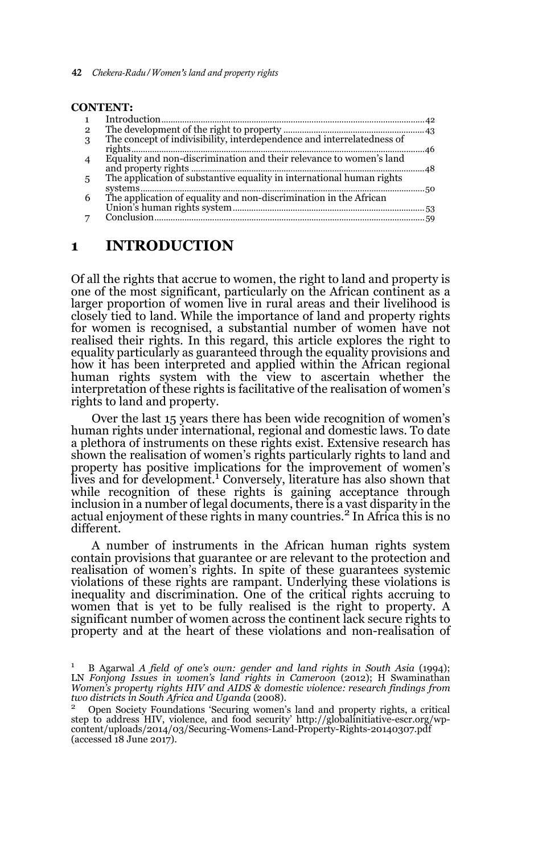| <b>CONTENT:</b> |                                                                       |  |
|-----------------|-----------------------------------------------------------------------|--|
|                 |                                                                       |  |
| 2               |                                                                       |  |
| 3               |                                                                       |  |
|                 |                                                                       |  |
|                 | Equality and non-discrimination and their relevance to women's land   |  |
|                 |                                                                       |  |
| 5               | The application of substantive equality in international human rights |  |
|                 |                                                                       |  |
| 6               |                                                                       |  |
|                 |                                                                       |  |
|                 |                                                                       |  |
|                 |                                                                       |  |

### **1 INTRODUCTION**

Of all the rights that accrue to women, the right to land and property is one of the most significant, particularly on the African continent as a larger proportion of women live in rural areas and their livelihood is closely tied to land. While the importance of land and property rights for women is recognised, a substantial number of women have not realised their rights. In this regard, this article explores the right to equality particularly as guaranteed through the equality provisions and how it has been interpreted and applied within the African regional human rights system with the view to ascertain whether the interpretation of these rights is facilitative of the realisation of women's rights to land and property.

Over the last 15 years there has been wide recognition of women's human rights under international, regional and domestic laws. To date a plethora of instruments on these rights exist. Extensive research has shown the realisation of women's rights particularly rights to land and property has positive implications for the improvement of women's lives and for development.<sup>1</sup> Conversely, literature has also shown that while recognition of these rights is gaining acceptance through inclusion in a number of legal documents, there is a vast disparity in the actual enjoyment of these rights in many countries.<sup>2</sup> In Africa this is no different.

A number of instruments in the African human rights system contain provisions that guarantee or are relevant to the protection and realisation of women's rights. In spite of these guarantees systemic violations of these rights are rampant. Underlying these violations is inequality and discrimination. One of the critical rights accruing to women that is yet to be fully realised is the right to property. A significant number of women across the continent lack secure rights to property and at the heart of these violations and non-realisation of

<sup>1</sup> B Agarwal *A field of one's own: gender and land rights in South Asia* (1994); LN *Fonjong Issues in women's land rights in Cameroon* (2012); H Swaminathan *Women's property rights HIV and AIDS & domestic violence: research findings from two districts in South Africa and Uganda* (2008).

<sup>2</sup> Open Society Foundations 'Securing women's land and property rights, a critical step to address HIV, violence, and food security' http://globalinitiative-escr.org/wpcontent/uploads/2014/03/Securing-Womens-Land-Property-Rights-20140307.pdf (accessed 18 June 2017).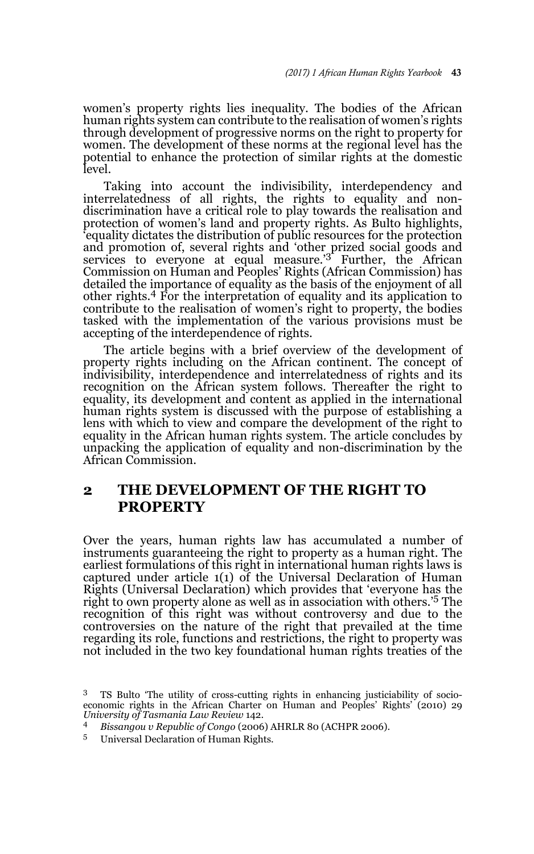women's property rights lies inequality. The bodies of the African human rights system can contribute to the realisation of women's rights through development of progressive norms on the right to property for women. The development of these norms at the regional level has the potential to enhance the protection of similar rights at the domestic level.

Taking into account the indivisibility, interdependency and interrelatedness of all rights, the rights to equality and nondiscrimination have a critical role to play towards the realisation and protection of women's land and property rights. As Bulto highlights, 'equality dictates the distribution of public resources for the protection and promotion of, several rights and 'other prized social goods and services to everyone at equal measure.'3 Further, the African Commission on Human and Peoples' Rights (African Commission) has detailed the importance of equality as the basis of the enjoyment of all other rights.4 For the interpretation of equality and its application to contribute to the realisation of women's right to property, the bodies tasked with the implementation of the various provisions must be accepting of the interdependence of rights.

The article begins with a brief overview of the development of property rights including on the African continent. The concept of indivisibility, interdependence and interrelatedness of rights and its recognition on the African system follows. Thereafter the right to equality, its development and content as applied in the international human rights system is discussed with the purpose of establishing a lens with which to view and compare the development of the right to equality in the African human rights system. The article concludes by unpacking the application of equality and non-discrimination by the African Commission.

# **2 THE DEVELOPMENT OF THE RIGHT TO PROPERTY**

Over the years, human rights law has accumulated a number of instruments guaranteeing the right to property as a human right. The earliest formulations of this right in international human rights laws is captured under article 1(1) of the Universal Declaration of Human Rights (Universal Declaration) which provides that 'everyone has the right to own property alone as well as in association with others.'5 The recognition of this right was without controversy and due to the controversies on the nature of the right that prevailed at the time regarding its role, functions and restrictions, the right to property was not included in the two key foundational human rights treaties of the

<sup>3</sup> TS Bulto 'The utility of cross-cutting rights in enhancing justiciability of socioeconomic rights in the African Charter on Human and Peoples' Rights' (2010) 29 *University of Tasmania Law Review* 142.

<sup>4</sup> *Bissangou v Republic of Congo* (2006) AHRLR 80 (ACHPR 2006). 5 Universal Declaration of Human Rights.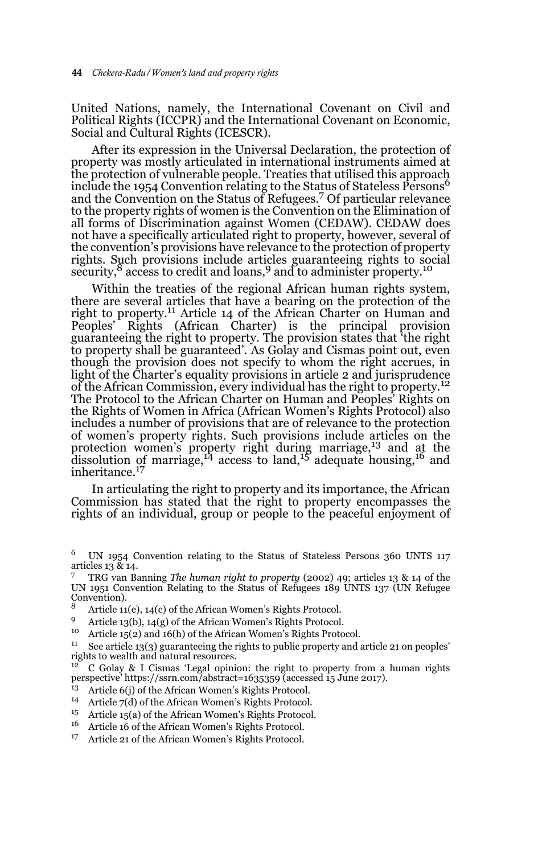United Nations, namely, the International Covenant on Civil and Political Rights (ICCPR) and the International Covenant on Economic, Social and Cultural Rights (ICESCR).

After its expression in the Universal Declaration, the protection of property was mostly articulated in international instruments aimed at the protection of vulnerable people. Treaties that utilised this approach include the 1954 Convention relating to the Status of Stateless Persons<sup>6</sup> and the Convention on the Status of Refugees.7 Of particular relevance to the property rights of women is the Convention on the Elimination of all forms of Discrimination against Women (CEDAW). CEDAW does not have a specifically articulated right to property, however, several of the convention's provisions have relevance to the protection of property rights. Such provisions include articles guaranteeing rights to social security,<sup>8</sup> access to credit and loans,<sup>9</sup> and to administer property.<sup>10</sup>

Within the treaties of the regional African human rights system, there are several articles that have a bearing on the protection of the right to property.<sup>11</sup> Article 14 of the African Charter on Human and Peoples' Rights (African Charter) is the principal provision guaranteeing the right to property. The provision states that 'the right to property shall be guaranteed'. As Golay and Cismas point out, even though the provision does not specify to whom the right accrues, in light of the Charter's equality provisions in article 2 and jurisprudence of the African Commission, every individual has the right to property.<sup>12</sup> The Protocol to the African Charter on Human and Peoples' Rights on the Rights of Women in Africa (African Women's Rights Protocol) also includes a number of provisions that are of relevance to the protection of women's property rights. Such provisions include articles on the protection women's property right during marriage,<sup>13</sup> and at the dissolution of marriage,<sup>14</sup> access to land,<sup>15</sup> adequate housing,<sup>16</sup> and inheritance.17

In articulating the right to property and its importance, the African Commission has stated that the right to property encompasses the rights of an individual, group or people to the peaceful enjoyment of

9 Article 13(b), 14(g) of the African Women's Rights Protocol.<br> $^{19}$  Article 15(a) and 16(b) of the African Women's Rights Proto

- <sup>13</sup> Article 6(j) of the African Women's Rights Protocol.
- <sup>14</sup> Article 7(d) of the African Women's Rights Protocol.<br><sup>15</sup> Article 15(a) of the African Women's Rights Protocol.
- Article 15(a) of the African Women's Rights Protocol.
- <sup>16</sup> Article 16 of the African Women's Rights Protocol.
- <sup>17</sup> Article 21 of the African Women's Rights Protocol.

<sup>6</sup> UN 1954 Convention relating to the Status of Stateless Persons 360 UNTS 117 articles 13 & 14.

<sup>7</sup> TRG van Banning *The human right to property* (2002) 49; articles 13 & 14 of the UN 1951 Convention Relating to the Status of Refugees 189 UNTS 137 (UN Refugee Convention).

<sup>&</sup>lt;sup>8</sup> Article 11(e), 14(c) of the African Women's Rights Protocol.

Article  $15(2)$  and  $16(h)$  of the African Women's Rights Protocol.

<sup>&</sup>lt;sup>11</sup> See article 13(3) guaranteeing the rights to public property and article 21 on peoples' rights to wealth and natural resources.

<sup>12</sup> C Golay & I Cismas 'Legal opinion: the right to property from a human rights perspective' https://ssrn.com/abstract=1635359 (accessed 15 June 2017).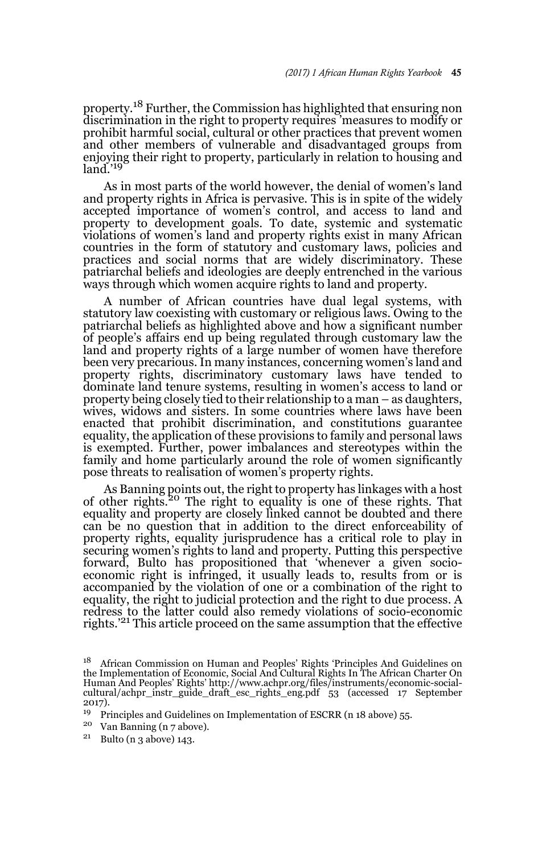property.18 Further, the Commission has highlighted that ensuring non discrimination in the right to property requires 'measures to modify or prohibit harmful social, cultural or other practices that prevent women and other members of vulnerable and disadvantaged groups from enjoying their right to property, particularly in relation to housing and  $lan^{\prime}$ <sup>19</sup>

As in most parts of the world however, the denial of women's land and property rights in Africa is pervasive. This is in spite of the widely accepted importance of women's control, and access to land and property to development goals. To date, systemic and systematic violations of women's land and property rights exist in many African countries in the form of statutory and customary laws, policies and practices and social norms that are widely discriminatory. These patriarchal beliefs and ideologies are deeply entrenched in the various ways through which women acquire rights to land and property.

A number of African countries have dual legal systems, with statutory law coexisting with customary or religious laws. Owing to the patriarchal beliefs as highlighted above and how a significant number of people's affairs end up being regulated through customary law the land and property rights of a large number of women have therefore been very precarious. In many instances, concerning women's land and property rights, discriminatory customary laws have tended to dominate land tenure systems, resulting in women's access to land or property being closely tied to their relationship to a man – as daughters, wives, widows and sisters. In some countries where laws have been enacted that prohibit discrimination, and constitutions guarantee equality, the application of these provisions to family and personal laws is exempted. Further, power imbalances and stereotypes within the family and home particularly around the role of women significantly pose threats to realisation of women's property rights.

As Banning points out, the right to property has linkages with a host of other rights.20 The right to equality is one of these rights. That equality and property are closely linked cannot be doubted and there can be no question that in addition to the direct enforceability of property rights, equality jurisprudence has a critical role to play in securing women's rights to land and property. Putting this perspective forward, Bulto has propositioned that 'whenever a given socioeconomic right is infringed, it usually leads to, results from or is accompanied by the violation of one or a combination of the right to equality, the right to judicial protection and the right to due process. A redress to the latter could also remedy violations of socio-economic rights.'21 This article proceed on the same assumption that the effective

<sup>&</sup>lt;sup>18</sup> African Commission on Human and Peoples' Rights 'Principles And Guidelines on the Implementation of Economic, Social And Cultural Rights In The African Charter On Human And Peoples' Rights' http://www.achpr.org/files/instruments/economic-social-cultural/achpr\_instr\_guide\_draft\_esc\_rights\_eng.pdf 53 (accessed 17 September  $2017$ ).<br> $19 - p_1$ 

<sup>19</sup> Principles and Guidelines on Implementation of ESCRR (n 18 above) 55.

<sup>&</sup>lt;sup>20</sup> Van Banning (n 7 above).<br><sup>21</sup> Bulto (n 3 above) 143.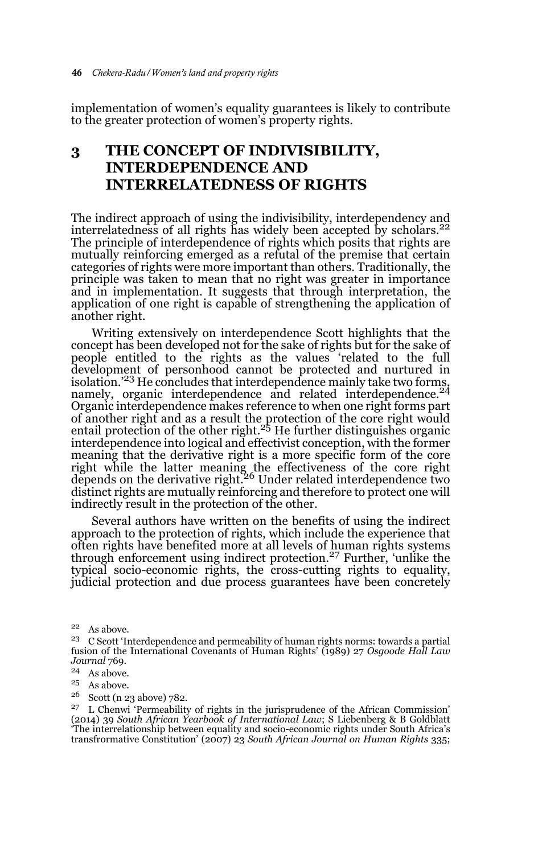implementation of women's equality guarantees is likely to contribute to the greater protection of women's property rights.

# **3 THE CONCEPT OF INDIVISIBILITY, INTERDEPENDENCE AND INTERRELATEDNESS OF RIGHTS**

The indirect approach of using the indivisibility, interdependency and interrelatedness of all rights has widely been accepted by scholars. $^{22}$ The principle of interdependence of rights which posits that rights are mutually reinforcing emerged as a refutal of the premise that certain categories of rights were more important than others. Traditionally, the principle was taken to mean that no right was greater in importance and in implementation. It suggests that through interpretation, the application of one right is capable of strengthening the application of another right.

Writing extensively on interdependence Scott highlights that the concept has been developed not for the sake of rights but for the sake of people entitled to the rights as the values 'related to the full development of personhood cannot be protected and nurtured in isolation.<sup>223</sup> He concludes that interdependence mainly take two forms, namely, organic interdependence and related interdependence.<sup>24</sup> Organic interdependence makes reference to when one right forms part of another right and as a result the protection of the core right would<br>entail protection of the other right.<sup>25</sup> He further distinguishes organic interdependence into logical and effectivist conception, with the former meaning that the derivative right is a more specific form of the core right while the latter meaning the effectiveness of the core right<br>depends on the derivative right.<sup>26</sup> Under related interdependence two distinct rights are mutually reinforcing and therefore to protect one will indirectly result in the protection of the other.

Several authors have written on the benefits of using the indirect approach to the protection of rights, which include the experience that often rights have benefited more at all levels of human rights systems through enforcement using indirect protection.27 Further, 'unlike the typical socio-economic rights, the cross-cutting rights to equality, judicial protection and due process guarantees have been concretely

 $22$  As above.

<sup>26</sup> Scott (n 23 above) 782.

<sup>23</sup> C Scott 'Interdependence and permeability of human rights norms: towards a partial fusion of the International Covenants of Human Rights' (1989) 27 *Osgoode Hall Law Journal* 769.

<sup>24</sup> As above.

<sup>25</sup> As above.

 $27$  L Chenwi 'Permeability of rights in the jurisprudence of the African Commission' (2014) 39 *South African Yearbook of International Law*; S Liebenberg & B Goldblatt 'The interrelationship between equality and socio-economic rights under South Africa's transfrormative Constitution' (2007) 23 *South African Journal on Human Rights* 335;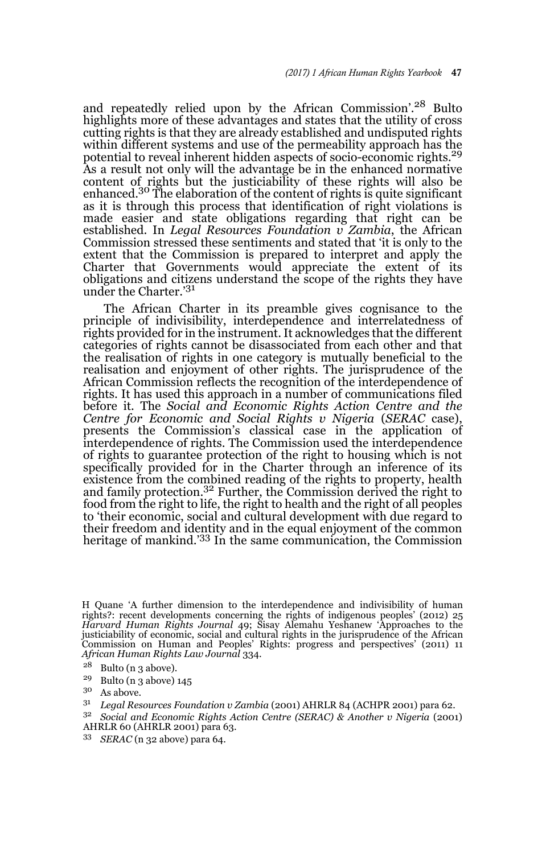and repeatedly relied upon by the African Commission'.28 Bulto highlights more of these advantages and states that the utility of cross cutting rights is that they are already established and undisputed rights within different systems and use of the permeability approach has the potential to reveal inherent hidden aspects of socio-economic rights.<sup>29</sup> As a result not only will the advantage be in the enhanced normative content of rights but the justiciability of these rights will also be enhanced.30 The elaboration of the content of rights is quite significant as it is through this process that identification of right violations is made easier and state obligations regarding that right can be established. In *Legal Resources Foundation v Zambia*, the African Commission stressed these sentiments and stated that 'it is only to the extent that the Commission is prepared to interpret and apply the Charter that Governments would appreciate the extent of its obligations and citizens understand the scope of the rights they have under the Charter.'<sup>31</sup>

The African Charter in its preamble gives cognisance to the principle of indivisibility, interdependence and interrelatedness of rights provided for in the instrument. It acknowledges that the different categories of rights cannot be disassociated from each other and that the realisation of rights in one category is mutually beneficial to the realisation and enjoyment of other rights. The jurisprudence of the African Commission reflects the recognition of the interdependence of rights. It has used this approach in a number of communications filed before it. The *Social and Economic Rights Action Centre and the Centre for Economic and Social Rights v Nigeria* (*SERAC* case), presents the Commission's classical case in the application of interdependence of rights. The Commission used the interdependence of rights to guarantee protection of the right to housing which is not specifically provided for in the Charter through an inference of its existence from the combined reading of the rights to property, health and family protection.32 Further, the Commission derived the right to food from the right to life, the right to health and the right of all peoples to 'their economic, social and cultural development with due regard to their freedom and identity and in the equal enjoyment of the common heritage of mankind.<sup>'33</sup> In the same communication, the Commission

H Quane 'A further dimension to the interdependence and indivisibility of human rights?: recent developments concerning the rights of indigenous peoples' (2012) 25 *Harvard Human Rights Journal* 49; Sisay Alemahu Yeshanew 'Approaches to the justiciability of economic, social and cultural rights in the jurisprudence of the African Commission on Human and Peoples' Rights: progress and perspectives' (2011) 11 *African Human Rights Law Journal* 334.

<sup>&</sup>lt;sup>28</sup> Bulto (n 3 above).<br><sup>29</sup> Bulto (n 3 above).

 $^{29}$  Bulto (n 3 above) 145

As above.

<sup>31</sup> *Legal Resources Foundation v Zambia* (2001) AHRLR 84 (ACHPR 2001) para 62.

<sup>32</sup> *Social and Economic Rights Action Centre (SERAC) & Another v Nigeria* (2001) AHRLR 60 (AHRLR 2001) para 63.

<sup>33</sup> *SERAC* (n 32 above) para 64.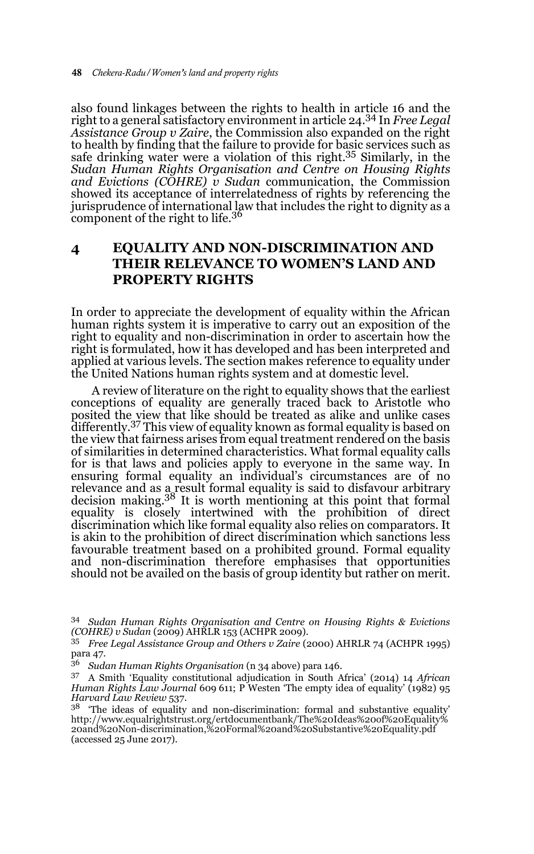also found linkages between the rights to health in article 16 and the right to a general satisfactory environment in article 24.34 In *Free Legal Assistance Group v Zaire*, the Commission also expanded on the right to health by finding that the failure to provide for basic services such as safe drinking water were a violation of this right.<sup>35</sup> Similarly, in the *Sudan Human Rights Organisation and Centre on Housing Rights and Evictions (COHRE) v Sudan* communication, the Commission showed its acceptance of interrelatedness of rights by referencing the jurisprudence of international law that includes the right to dignity as a component of the right to life.<sup>36</sup>

## **4 EQUALITY AND NON-DISCRIMINATION AND THEIR RELEVANCE TO WOMEN'S LAND AND PROPERTY RIGHTS**

In order to appreciate the development of equality within the African human rights system it is imperative to carry out an exposition of the right to equality and non-discrimination in order to ascertain how the right is formulated, how it has developed and has been interpreted and applied at various levels. The section makes reference to equality under the United Nations human rights system and at domestic level.

A review of literature on the right to equality shows that the earliest conceptions of equality are generally traced back to Aristotle who posited the view that like should be treated as alike and unlike cases differently.<sup>37</sup> This view of equality known as formal equality is based on the view that fairness arises from equal treatment rendered on the basis of similarities in determined characteristics. What formal equality calls for is that laws and policies apply to everyone in the same way. In ensuring formal equality an individual's circumstances are of no relevance and as a result formal equality is said to disfavour arbitrary decision making.38 It is worth mentioning at this point that formal equality is closely intertwined with the prohibition of direct discrimination which like formal equality also relies on comparators. It is akin to the prohibition of direct discrimination which sanctions less favourable treatment based on a prohibited ground. Formal equality and non-discrimination therefore emphasises that opportunities should not be availed on the basis of group identity but rather on merit.

<sup>34</sup> *Sudan Human Rights Organisation and Centre on Housing Rights & Evictions (COHRE) v Sudan* (2009) AHRLR 153 (ACHPR 2009).

<sup>35</sup> *Free Legal Assistance Group and Others v Zaire* (2000) AHRLR 74 (ACHPR 1995) para 47.

<sup>36</sup> *Sudan Human Rights Organisation* (n 34 above) para 146.

<sup>37</sup> A Smith 'Equality constitutional adjudication in South Africa' (2014) 14 *African Human Rights Law Journal* 609 611; P Westen 'The empty idea of equality' (1982) 95 *Harvard Law Review* 537.

 $38$  'The ideas of equality and non-discrimination: formal and substantive equality' http://www.equalrightstrust.org/ertdocumentbank/The%20Ideas%20of%20Equality% 20and%20Non-discrimination,%20Formal%20and%20Substantive%20Equality.pdf (accessed 25 June 2017).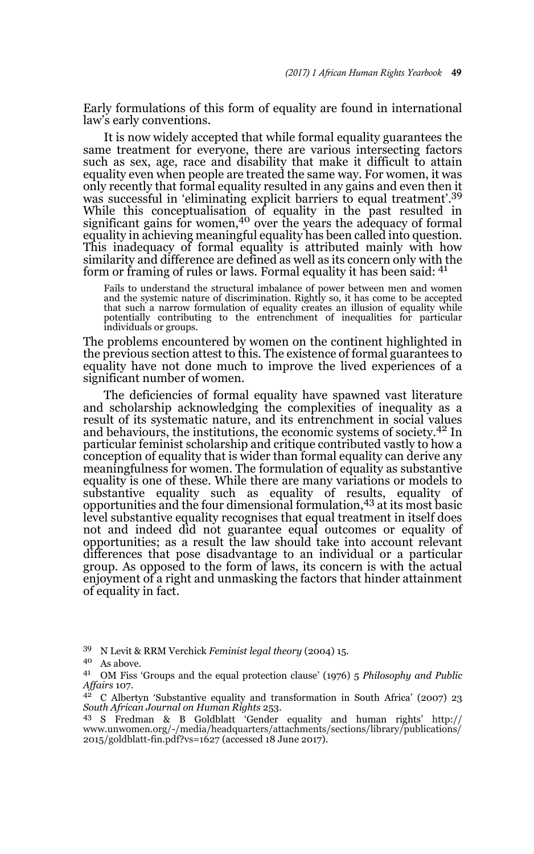Early formulations of this form of equality are found in international law's early conventions.

It is now widely accepted that while formal equality guarantees the same treatment for everyone, there are various intersecting factors such as sex, age, race and disability that make it difficult to attain equality even when people are treated the same way. For women, it was only recently that formal equality resulted in any gains and even then it was successful in 'eliminating explicit barriers to equal treatment'.<sup>39</sup> While this conceptualisation of equality in the past resulted in significant gains for women,<sup>40</sup> over the years the adequacy of formal equality in achieving meaningful equality has been called into question. This inadequacy of formal equality is attributed mainly with how similarity and difference are defined as well as its concern only with the form or framing of rules or laws. Formal equality it has been said:  $4<sup>1</sup>$ 

Fails to understand the structural imbalance of power between men and women and the systemic nature of discrimination. Rightly so, it has come to be accepted that such a narrow formulation of equality creates an illusion of equality while potentially contributing to the entrenchment of inequalities for particular individuals or groups.

The problems encountered by women on the continent highlighted in the previous section attest to this. The existence of formal guarantees to equality have not done much to improve the lived experiences of a significant number of women.

The deficiencies of formal equality have spawned vast literature and scholarship acknowledging the complexities of inequality as a result of its systematic nature, and its entrenchment in social values and behaviours, the institutions, the economic systems of society.<sup>42</sup> In particular feminist scholarship and critique contributed vastly to how a conception of equality that is wider than formal equality can derive any meaningfulness for women. The formulation of equality as substantive equality is one of these. While there are many variations or models to substantive equality such as equality of results, equality of<br>opportunities and the four dimensional formulation,<sup>43</sup> at its most basic level substantive equality recognises that equal treatment in itself does not and indeed did not guarantee equal outcomes or equality of opportunities; as a result the law should take into account relevant differences that pose disadvantage to an individual or a particular group. As opposed to the form of laws, its concern is with the actual enjoyment of a right and unmasking the factors that hinder attainment of equality in fact.

<sup>39</sup> N Levit & RRM Verchick *Feminist legal theory* (2004) 15.

<sup>40</sup> As above.

<sup>41</sup> OM Fiss 'Groups and the equal protection clause' (1976) 5 *Philosophy and Public Affairs* 107.

<sup>42</sup> C Albertyn 'Substantive equality and transformation in South Africa' (2007) 23 *South African Journal on Human Rights* 253.

<sup>43</sup> S Fredman & B Goldblatt 'Gender equality and human rights' http:// www.unwomen.org/-/media/headquarters/attachments/sections/library/publications/ 2015/goldblatt-fin.pdf?vs=1627 (accessed 18 June 2017).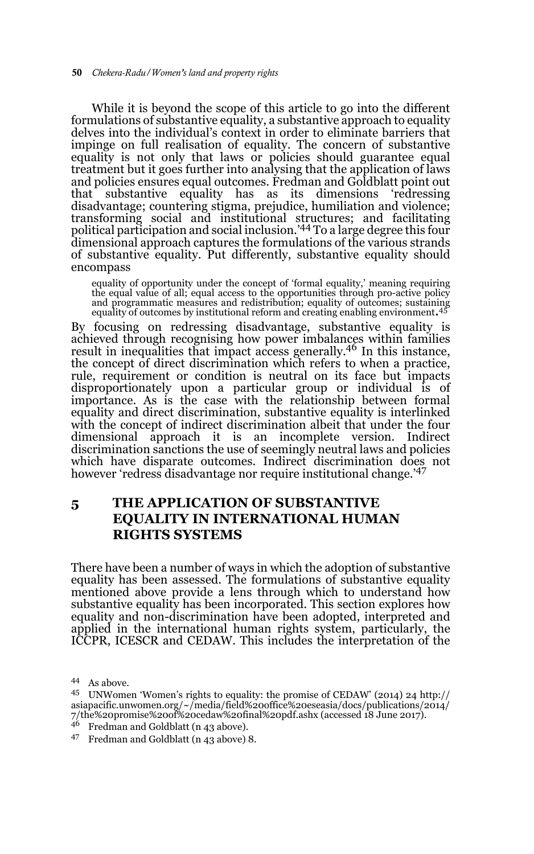While it is beyond the scope of this article to go into the different formulations of substantive equality, a substantive approach to equality delves into the individual's context in order to eliminate barriers that impinge on full realisation of equality. The concern of substantive equality is not only that laws or policies should guarantee equal treatment but it goes further into analysing that the application of laws and policies ensures equal outcomes. Fredman and Goldblatt point out that substantive equality has as its dimensions 'redressing disadvantage; countering stigma, prejudice, humiliation and violence; transforming social and institutional structures; and facilitating political participation and social inclusion.'44 To a large degree this four dimensional approach captures the formulations of the various strands of substantive equality. Put differently, substantive equality should encompass

equality of opportunity under the concept of 'formal equality,' meaning requiring the equal value of all; equal access to the opportunities through pro-active policy and programmatic measures and redistribution; equality of outcomes; sustaining equality of outcomes by institutional reform and creating enabling environment.45

By focusing on redressing disadvantage, substantive equality is achieved through recognising how power imbalances within families result in inequalities that impact access generally.<sup>46</sup> In this instance, the concept of direct discrimination which refers to when a practice, rule, requirement or condition is neutral on its face but impacts disproportionately upon a particular group or individual is of importance. As is the case with the relationship between formal equality and direct discrimination, substantive equality is interlinked with the concept of indirect discrimination albeit that under the four dimensional approach it is an incomplete version. Indirect discrimination sanctions the use of seemingly neutral laws and policies which have disparate outcomes. Indirect discrimination does not however 'redress disadvantage nor require institutional change.<sup>'47</sup>

### **5 THE APPLICATION OF SUBSTANTIVE EQUALITY IN INTERNATIONAL HUMAN RIGHTS SYSTEMS**

There have been a number of ways in which the adoption of substantive equality has been assessed. The formulations of substantive equality mentioned above provide a lens through which to understand how substantive equality has been incorporated. This section explores how equality and non-discrimination have been adopted, interpreted and applied in the international human rights system, particularly, the ICCPR, ICESCR and CEDAW. This includes the interpretation of the

<sup>46</sup> Fredman and Goldblatt (n 43 above).

<sup>44</sup> As above.

<sup>45</sup> UNWomen 'Women's rights to equality: the promise of CEDAW' (2014) 24 http:// asiapacific.unwomen.org/~/media/field%20office%20eseasia/docs/publications/2014/ 7/the%20promise%20of%20cedaw%20final%20pdf.ashx (accessed 18 June 2017).

<sup>47</sup> Fredman and Goldblatt (n 43 above) 8.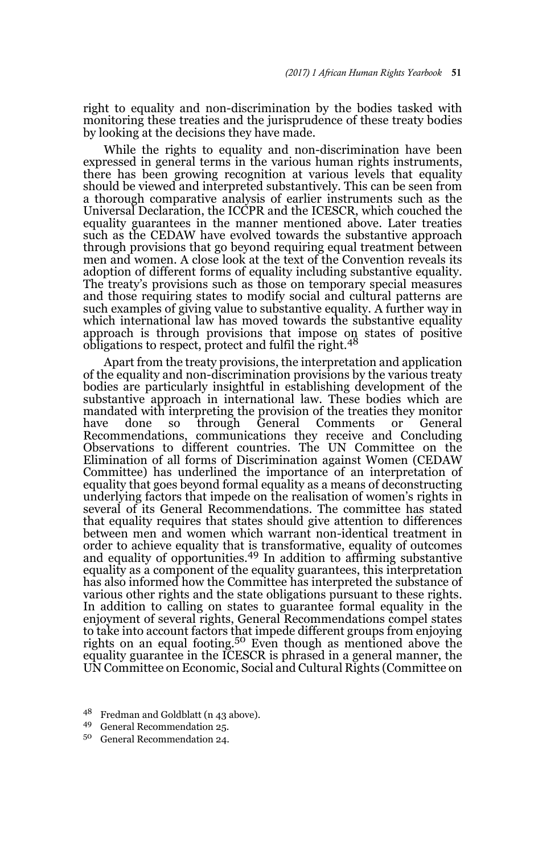right to equality and non-discrimination by the bodies tasked with monitoring these treaties and the jurisprudence of these treaty bodies by looking at the decisions they have made.

While the rights to equality and non-discrimination have been expressed in general terms in the various human rights instruments, there has been growing recognition at various levels that equality should be viewed and interpreted substantively. This can be seen from a thorough comparative analysis of earlier instruments such as the Universal Declaration, the ICCPR and the ICESCR, which couched the equality guarantees in the manner mentioned above. Later treaties such as the CEDAW have evolved towards the substantive approach through provisions that go beyond requiring equal treatment between men and women. A close look at the text of the Convention reveals its adoption of different forms of equality including substantive equality. The treaty's provisions such as those on temporary special measures and those requiring states to modify social and cultural patterns are such examples of giving value to substantive equality. A further way in which international law has moved towards the substantive equality approach is through provisions that impose on states of positive obligations to respect, protect and fulfil the right.<sup>48</sup>

Apart from the treaty provisions, the interpretation and application of the equality and non-discrimination provisions by the various treaty bodies are particularly insightful in establishing development of the substantive approach in international law. These bodies which are mandated with interpreting the provision of the treaties they monitor have done so through General Comments or General Recommendations, communications they receive and Concluding Observations to different countries. The UN Committee on the Elimination of all forms of Discrimination against Women (CEDAW Committee) has underlined the importance of an interpretation of equality that goes beyond formal equality as a means of deconstructing underlying factors that impede on the realisation of women's rights in several of its General Recommendations. The committee has stated that equality requires that states should give attention to differences between men and women which warrant non-identical treatment in order to achieve equality that is transformative, equality of outcomes and equality of opportunities.<sup>49</sup> In addition to affirming substantive equality as a component of the equality guarantees, this interpretation has also informed how the Committee has interpreted the substance of various other rights and the state obligations pursuant to these rights. In addition to calling on states to guarantee formal equality in the enjoyment of several rights, General Recommendations compel states to take into account factors that impede different groups from enjoying<br>rights on an equal footing.<sup>50</sup> Even though as mentioned above the equality guarantee in the ICESCR is phrased in a general manner, the UN Committee on Economic, Social and Cultural Rights (Committee on

<sup>48</sup> Fredman and Goldblatt (n 43 above).

<sup>49</sup> General Recommendation 25.

<sup>50</sup> General Recommendation 24.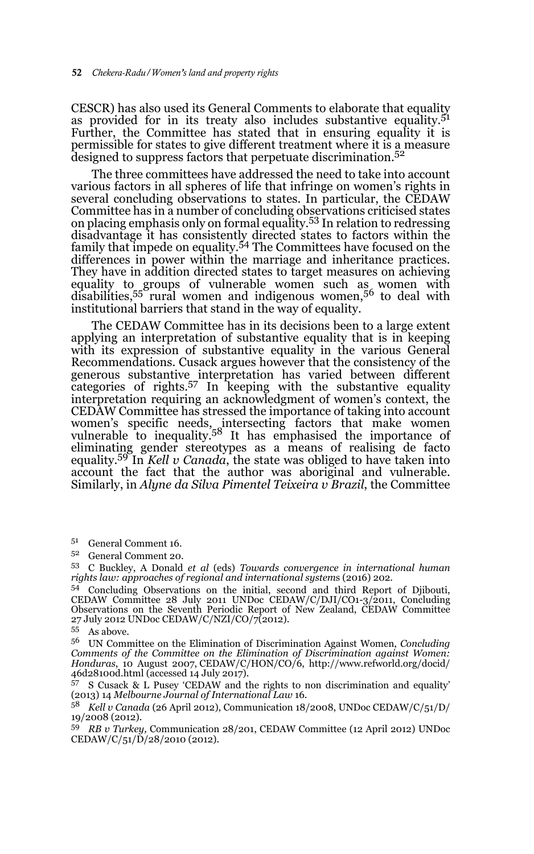CESCR) has also used its General Comments to elaborate that equality as provided for in its treaty also includes substantive equality.<sup>51</sup> Further, the Committee has stated that in ensuring equality it is permissible for states to give different treatment where it is a measure designed to suppress factors that perpetuate discrimination.<sup>52</sup>

The three committees have addressed the need to take into account various factors in all spheres of life that infringe on women's rights in several concluding observations to states. In particular, the CEDAW Committee has in a number of concluding observations criticised states on placing emphasis only on formal equality.53 In relation to redressing disadvantage it has consistently directed states to factors within the family that impede on equality.54 The Committees have focused on the differences in power within the marriage and inheritance practices. They have in addition directed states to target measures on achieving equality to groups of vulnerable women such as women with disabilities,55 rural women and indigenous women,56 to deal with institutional barriers that stand in the way of equality.

The CEDAW Committee has in its decisions been to a large extent applying an interpretation of substantive equality that is in keeping with its expression of substantive equality in the various General Recommendations. Cusack argues however that the consistency of the generous substantive interpretation has varied between different categories of rights.57 In keeping with the substantive equality interpretation requiring an acknowledgment of women's context, the CEDAW Committee has stressed the importance of taking into account women's specific needs, intersecting factors that make women vulnerable to inequality.58 It has emphasised the importance of eliminating gender stereotypes as a means of realising de facto equality.59 In *Kell v Canada*, the state was obliged to have taken into account the fact that the author was aboriginal and vulnerable. Similarly, in *Alyne da Silva Pimentel Teixeira v Brazil*, the Committee

- <sup>51</sup> General Comment 16.
- <sup>52</sup> General Comment 20.

<sup>53</sup> C Buckley, A Donald *et al* (eds) *Towards convergence in international human rights law: approaches of regional and international system*s (2016) 202.

<sup>54</sup> Concluding Observations on the initial, second and third Report of Djibouti, CEDAW Committee 28 July 2011 UNDoc CEDAW/C/DJI/CO1-3/2011, Concluding Observations on the Seventh Periodic Report of New Zealand, CEDAW Committee 27 July 2012 UNDoc CEDAW/C/NZI/CO/7(2012).

 $55$  As above.

<sup>56</sup> UN Committee on the Elimination of Discrimination Against Women, *Concluding Comments of the Committee on the Elimination of Discrimination against Women: Honduras*, 10 August 2007, CEDAW/C/HON/CO/6, http://www.refworld.org/docid/ 46d28100d.html (accessed 14 July 2017).

<sup>57</sup> S Cusack & L Pusey 'CEDAW and the rights to non discrimination and equality' (2013) 14 *Melbourne Journal of International Law* 16.

<sup>58</sup> *Kell v Canada* (26 April 2012), Communication 18/2008, UNDoc CEDAW/C/51/D/ 19/2008 (2012).

<sup>59</sup> *RB v Turkey,* Communication 28/201, CEDAW Committee (12 April 2012) UNDoc CEDAW/C/51/D/28/2010 (2012).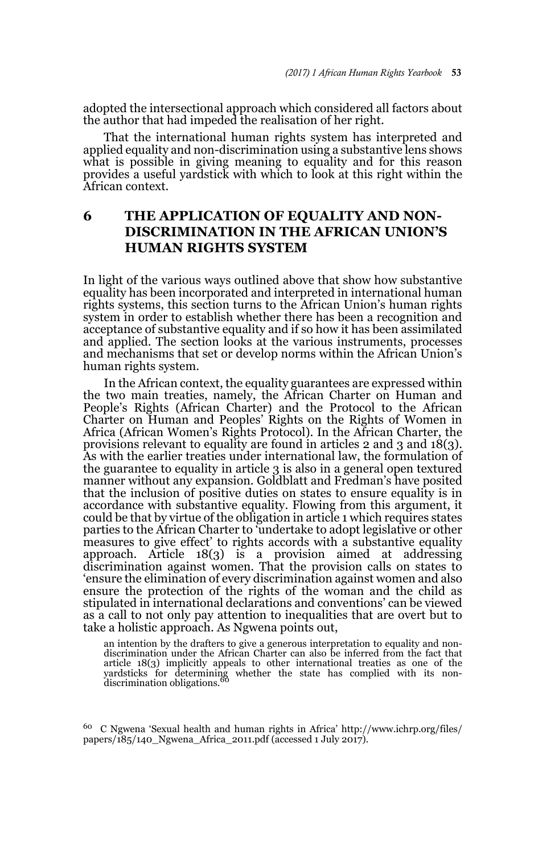adopted the intersectional approach which considered all factors about the author that had impeded the realisation of her right.

That the international human rights system has interpreted and applied equality and non-discrimination using a substantive lens shows what is possible in giving meaning to equality and for this reason provides a useful yardstick with which to look at this right within the African context.

### **6 THE APPLICATION OF EQUALITY AND NON-DISCRIMINATION IN THE AFRICAN UNION'S HUMAN RIGHTS SYSTEM**

In light of the various ways outlined above that show how substantive equality has been incorporated and interpreted in international human rights systems, this section turns to the African Union's human rights system in order to establish whether there has been a recognition and acceptance of substantive equality and if so how it has been assimilated and applied. The section looks at the various instruments, processes and mechanisms that set or develop norms within the African Union's human rights system.

In the African context, the equality guarantees are expressed within the two main treaties, namely, the African Charter on Human and People's Rights (African Charter) and the Protocol to the African Charter on Human and Peoples' Rights on the Rights of Women in Africa (African Women's Rights Protocol). In the African Charter, the provisions relevant to equality are found in articles 2 and 3 and 18(3). As with the earlier treaties under international law, the formulation of the guarantee to equality in article 3 is also in a general open textured manner without any expansion. Goldblatt and Fredman's have posited that the inclusion of positive duties on states to ensure equality is in accordance with substantive equality. Flowing from this argument, it could be that by virtue of the obligation in article 1 which requires states parties to the African Charter to 'undertake to adopt legislative or other measures to give effect' to rights accords with a substantive equality approach. Article 18(3) is a provision aimed at addressing discrimination against women. That the provision calls on states to 'ensure the elimination of every discrimination against women and also ensure the protection of the rights of the woman and the child as stipulated in international declarations and conventions' can be viewed as a call to not only pay attention to inequalities that are overt but to take a holistic approach. As Ngwena points out,

an intention by the drafters to give a generous interpretation to equality and nondiscrimination under the African Charter can also be inferred from the fact that article 18(3) implicitly appeals to other international treaties as one of the yardsticks for determining whether the state has complied with its non-<br>discrimination obligations.<sup>60</sup>

<sup>60</sup> C Ngwena 'Sexual health and human rights in Africa' http://www.ichrp.org/files/ papers/185/140\_Ngwena\_Africa\_2011.pdf (accessed 1 July 2017).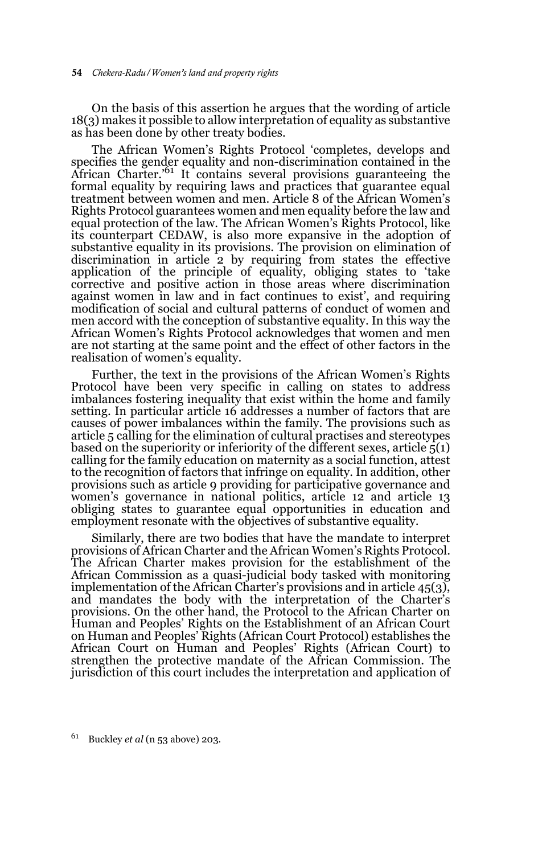On the basis of this assertion he argues that the wording of article 18(3) makes it possible to allow interpretation of equality as substantive as has been done by other treaty bodies.

The African Women's Rights Protocol 'completes, develops and specifies the gender equality and non-discrimination contained in the African Charter.'61 It contains several provisions guaranteeing the formal equality by requiring laws and practices that guarantee equal treatment between women and men. Article 8 of the African Women's Rights Protocol guarantees women and men equality before the law and equal protection of the law. The African Women's Rights Protocol, like its counterpart CEDAW, is also more expansive in the adoption of substantive equality in its provisions. The provision on elimination of discrimination in article 2 by requiring from states the effective application of the principle of equality, obliging states to 'take corrective and positive action in those areas where discrimination against women in law and in fact continues to exist', and requiring modification of social and cultural patterns of conduct of women and men accord with the conception of substantive equality. In this way the African Women's Rights Protocol acknowledges that women and men are not starting at the same point and the effect of other factors in the realisation of women's equality.

Further, the text in the provisions of the African Women's Rights Protocol have been very specific in calling on states to address imbalances fostering inequality that exist within the home and family setting. In particular article 16 addresses a number of factors that are causes of power imbalances within the family. The provisions such as article 5 calling for the elimination of cultural practises and stereotypes based on the superiority or inferiority of the different sexes, article  $\bar{5}(1)$ calling for the family education on maternity as a social function, attest to the recognition of factors that infringe on equality. In addition, other provisions such as article 9 providing for participative governance and women's governance in national politics, article 12 and article 13 obliging states to guarantee equal opportunities in education and employment resonate with the objectives of substantive equality.

Similarly, there are two bodies that have the mandate to interpret provisions of African Charter and the African Women's Rights Protocol. The African Charter makes provision for the establishment of the African Commission as a quasi-judicial body tasked with monitoring implementation of the African Charter's provisions and in article  $45(3)$ , and mandates the body with the interpretation of the Charter's provisions. On the other hand, the Protocol to the African Charter on Human and Peoples' Rights on the Establishment of an African Court on Human and Peoples' Rights (African Court Protocol) establishes the African Court on Human and Peoples' Rights (African Court) to strengthen the protective mandate of the African Commission. The jurisdiction of this court includes the interpretation and application of

<sup>61</sup> Buckley *et al* (n 53 above) 203.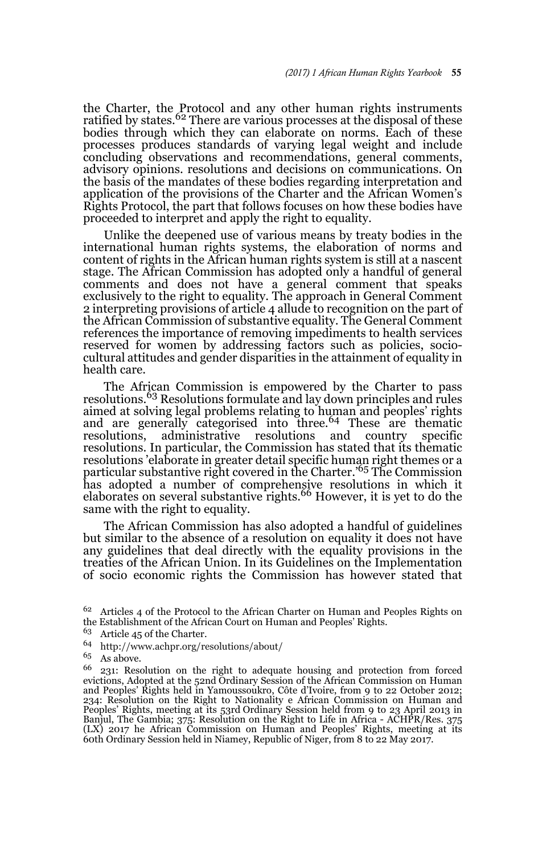the Charter, the Protocol and any other human rights instruments<br>ratified by states.<sup>62</sup> There are various processes at the disposal of these bodies through which they can elaborate on norms. Each of these processes produces standards of varying legal weight and include concluding observations and recommendations, general comments, advisory opinions. resolutions and decisions on communications. On the basis of the mandates of these bodies regarding interpretation and application of the provisions of the Charter and the African Women's Rights Protocol, the part that follows focuses on how these bodies have proceeded to interpret and apply the right to equality.

Unlike the deepened use of various means by treaty bodies in the international human rights systems, the elaboration of norms and content of rights in the African human rights system is still at a nascent stage. The African Commission has adopted only a handful of general comments and does not have a general comment that speaks exclusively to the right to equality. The approach in General Comment 2 interpreting provisions of article 4 allude to recognition on the part of the African Commission of substantive equality. The General Comment references the importance of removing impediments to health services reserved for women by addressing factors such as policies, sociocultural attitudes and gender disparities in the attainment of equality in health care.

The African Commission is empowered by the Charter to pass resolutions.63 Resolutions formulate and lay down principles and rules aimed at solving legal problems relating to human and peoples' rights and are generally categorised into three.<sup>64</sup> These are thematic resolutions. administrative resolutions and country specific administrative resolutions and country specific resolutions. In particular, the Commission has stated that its thematic resolutions 'elaborate in greater detail specific human right themes or a particular substantive right covered in the Charter.'65 The Commission has adopted a number of comprehensive resolutions in which it elaborates on several substantive rights.<sup>66</sup> However, it is yet to do the same with the right to equality.

The African Commission has also adopted a handful of guidelines but similar to the absence of a resolution on equality it does not have any guidelines that deal directly with the equality provisions in the treaties of the African Union. In its Guidelines on the Implementation of socio economic rights the Commission has however stated that

- <sup>63</sup> Article 45 of the Charter.
- <sup>64</sup> http://www.achpr.org/resolutions/about/
- <sup>65</sup> As above.

<sup>&</sup>lt;sup>62</sup> Articles 4 of the Protocol to the African Charter on Human and Peoples Rights on the Establishment of the African Court on Human and Peoples' Rights.

<sup>66</sup> 231: Resolution on the right to adequate housing and protection from forced evictions, Adopted at the 52nd Ordinary Session of the African Commission on Human and Peoples' Rights held in Yamoussoukro, Côte d'Ivoire, from 9 to 22 October 2012; 234: Resolution on the Right to Nationality e African Commission on Human and Peoples' Rights, meeting at its 53rd Ordinary Session held from 9 to 23 April 2013 in Banjul, The Gambia; 375: Resolution on the Right to Life in Africa - ACHPR/Res. 375 (LX) 2017 he African Commission on Human and Peoples' Rights, meeting at its 60th Ordinary Session held in Niamey, Republic of Niger, from 8 to 22 May 2017.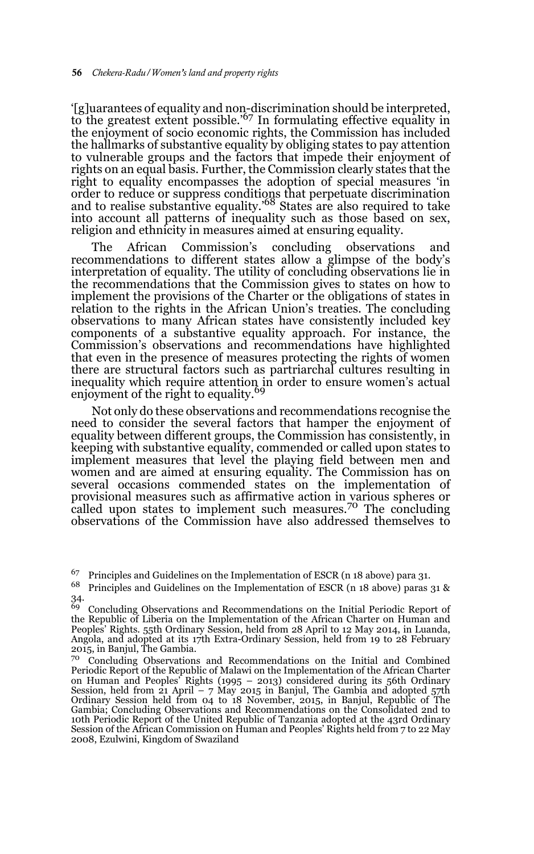'[g]uarantees of equality and non-discrimination should be interpreted, to the greatest extent possible.'67 In formulating effective equality in the enjoyment of socio economic rights, the Commission has included the hallmarks of substantive equality by obliging states to pay attention to vulnerable groups and the factors that impede their enjoyment of rights on an equal basis. Further, the Commission clearly states that the right to equality encompasses the adoption of special measures 'in order to reduce or suppress conditions that perpetuate discrimination and to realise substantive equality.'68 States are also required to take into account all patterns of inequality such as those based on sex, religion and ethnicity in measures aimed at ensuring equality.

The African Commission's concluding observations and recommendations to different states allow a glimpse of the body's interpretation of equality. The utility of concluding observations lie in the recommendations that the Commission gives to states on how to implement the provisions of the Charter or the obligations of states in relation to the rights in the African Union's treaties. The concluding observations to many African states have consistently included key components of a substantive equality approach. For instance, the Commission's observations and recommendations have highlighted that even in the presence of measures protecting the rights of women there are structural factors such as partriarchal cultures resulting in inequality which require attention in order to ensure women's actual enjoyment of the right to equality.<sup>69</sup>

Not only do these observations and recommendations recognise the need to consider the several factors that hamper the enjoyment of equality between different groups, the Commission has consistently, in keeping with substantive equality, commended or called upon states to implement measures that level the playing field between men and women and are aimed at ensuring equality. The Commission has on several occasions commended states on the implementation of provisional measures such as affirmative action in various spheres or called upon states to implement such measures.70 The concluding observations of the Commission have also addressed themselves to

<sup>68</sup> Principles and Guidelines on the Implementation of ESCR (n 18 above) paras 31 & 34.

<sup>67</sup> Principles and Guidelines on the Implementation of ESCR (n 18 above) para 31.

<sup>&</sup>lt;sup>69</sup> Concluding Observations and Recommendations on the Initial Periodic Report of<br>the Republic of Liberia on the Implementation of the African Charter on Human and Peoples' Rights. 55th Ordinary Session, held from 28 April to 12 May 2014, in Luanda, Angola, and adopted at its 17th Extra-Ordinary Session, held from 19 to 28 February 2015, in Banjul, The Gambia.

<sup>70</sup> Concluding Observations and Recommendations on the Initial and Combined Periodic Report of the Republic of Malawi on the Implementation of the African Charter on Human and Peoples' Rights (1995 – 2013) considered during its 56th Ordinary Session, held from 21 April – 7 May 2015 in Banjul, The Gambia and adopted 57th Ordinary Session held from 04 to 18 November, 2015, in Banjul, Republic of The Gambia; Concluding Observations and Recommendations on the Consolidated 2nd to 10th Periodic Report of the United Republic of Tanzania adopted at the 43rd Ordinary Session of the African Commission on Human and Peoples' Rights held from 7 to 22 May 2008, Ezulwini, Kingdom of Swaziland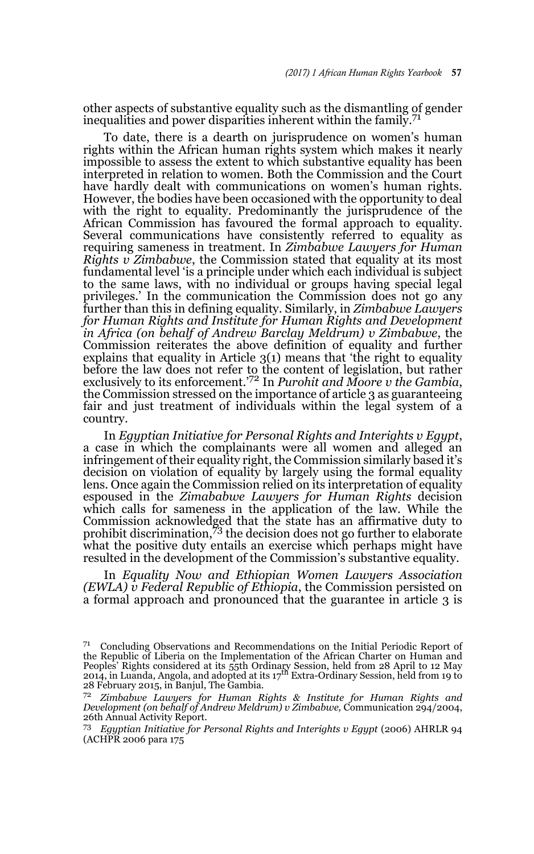other aspects of substantive equality such as the dismantling of gender inequalities and power disparities inherent within the family.<sup>71</sup>

To date, there is a dearth on jurisprudence on women's human rights within the African human rights system which makes it nearly impossible to assess the extent to which substantive equality has been interpreted in relation to women. Both the Commission and the Court have hardly dealt with communications on women's human rights. However, the bodies have been occasioned with the opportunity to deal with the right to equality. Predominantly the jurisprudence of the African Commission has favoured the formal approach to equality. Several communications have consistently referred to equality as requiring sameness in treatment. In *Zimbabwe Lawyers for Human Rights v Zimbabwe*, the Commission stated that equality at its most fundamental level 'is a principle under which each individual is subject to the same laws, with no individual or groups having special legal privileges.' In the communication the Commission does not go any further than this in defining equality. Similarly, in *Zimbabwe Lawyers for Human Rights and Institute for Human Rights and Development in Africa (on behalf of Andrew Barclay Meldrum) v Zimbabwe*, the Commission reiterates the above definition of equality and further explains that equality in Article 3(1) means that 'the right to equality before the law does not refer to the content of legislation, but rather exclusively to its enforcement.'72 In *Purohit and Moore v the Gambia*, the Commission stressed on the importance of article 3 as guaranteeing fair and just treatment of individuals within the legal system of a country.

In *Egyptian Initiative for Personal Rights and Interights v Egypt*, a case in which the complainants were all women and alleged an infringement of their equality right, the Commission similarly based it's decision on violation of equality by largely using the formal equality lens. Once again the Commission relied on its interpretation of equality espoused in the *Zimababwe Lawyers for Human Rights* decision which calls for sameness in the application of the law. While the Commission acknowledged that the state has an affirmative duty to prohibit discrimination,73 the decision does not go further to elaborate what the positive duty entails an exercise which perhaps might have resulted in the development of the Commission's substantive equality.

In *Equality Now and Ethiopian Women Lawyers Association (EWLA) v Federal Republic of Ethiopia*, the Commission persisted on a formal approach and pronounced that the guarantee in article 3 is

<sup>71</sup> Concluding Observations and Recommendations on the Initial Periodic Report of the Republic of Liberia on the Implementation of the African Charter on Human and Peoples' Rights considered at its 55th Ordinary Session, held from 28 April to 12 May<br>2014, in Luanda, Angola, and adopted at its 17<sup>th</sup> Extra-Ordinary Session, held from 19 to 28 February 2015, in Banjul, The Gambia.

<sup>72</sup> *Zimbabwe Lawyers for Human Rights & Institute for Human Rights and Development (on behalf of Andrew Meldrum) v Zimbabwe,* Communication 294/2004, 26th Annual Activity Report.

<sup>73</sup> *Egyptian Initiative for Personal Rights and Interights v Egypt* (2006) AHRLR 94 (ACHPR 2006 para 175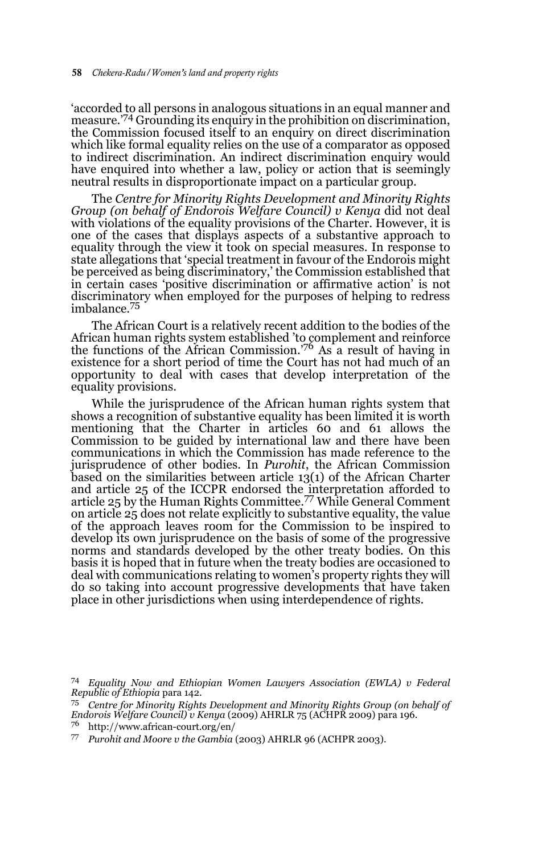'accorded to all persons in analogous situations in an equal manner and measure.'74 Grounding its enquiry in the prohibition on discrimination, the Commission focused itself to an enquiry on direct discrimination which like formal equality relies on the use of a comparator as opposed to indirect discrimination. An indirect discrimination enquiry would have enquired into whether a law, policy or action that is seemingly neutral results in disproportionate impact on a particular group.

The *Centre for Minority Rights Development and Minority Rights Group (on behalf of Endorois Welfare Council) v Kenya* did not deal with violations of the equality provisions of the Charter. However, it is one of the cases that displays aspects of a substantive approach to equality through the view it took on special measures. In response to state allegations that 'special treatment in favour of the Endorois might be perceived as being discriminatory,' the Commission established that in certain cases 'positive discrimination or affirmative action' is not discriminatory when employed for the purposes of helping to redress imbalance.<sup>75</sup>

The African Court is a relatively recent addition to the bodies of the African human rights system established 'to complement and reinforce the functions of the African Commission.<sup>76</sup> As a result of having in existence for a short period of time the Court has not had much of an opportunity to deal with cases that develop interpretation of the equality provisions.

While the jurisprudence of the African human rights system that shows a recognition of substantive equality has been limited it is worth mentioning that the Charter in articles 60 and 61 allows the Commission to be guided by international law and there have been communications in which the Commission has made reference to the jurisprudence of other bodies. In *Purohit*, the African Commission based on the similarities between article 13(1) of the African Charter and article 25 of the ICCPR endorsed the interpretation afforded to article 25 by the Human Rights Committee.77 While General Comment on article 25 does not relate explicitly to substantive equality, the value of the approach leaves room for the Commission to be inspired to develop its own jurisprudence on the basis of some of the progressive norms and standards developed by the other treaty bodies. On this basis it is hoped that in future when the treaty bodies are occasioned to deal with communications relating to women's property rights they will do so taking into account progressive developments that have taken place in other jurisdictions when using interdependence of rights.

<sup>76</sup> http://www.african-court.org/en/

<sup>74</sup> *Equality Now and Ethiopian Women Lawyers Association (EWLA) v Federal Republic of Ethiopia* para 142.

<sup>75</sup> *Centre for Minority Rights Development and Minority Rights Group (on behalf of Endorois Welfare Council) v Kenya* (2009) AHRLR 75 (ACHPR 2009) para 196.

<sup>77</sup> *Purohit and Moore v the Gambia* (2003) AHRLR 96 (ACHPR 2003).